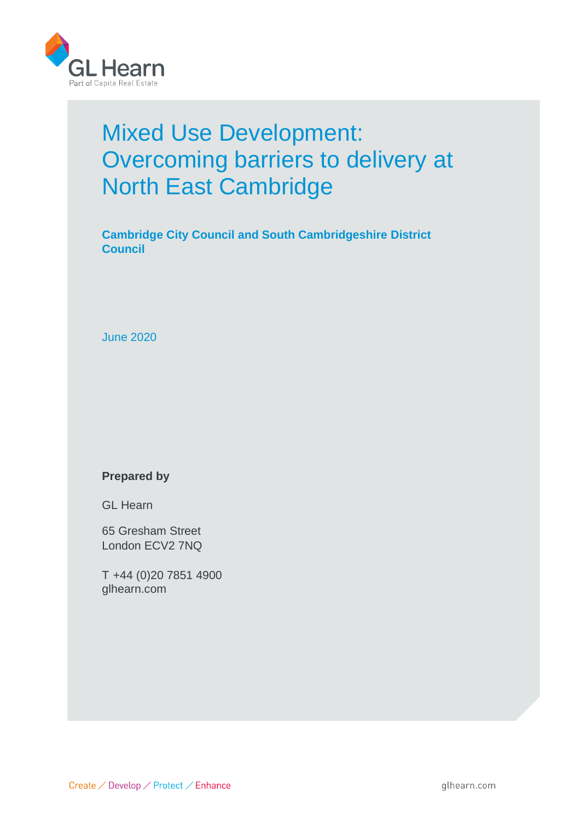

# Mixed Use Development: Overcoming barriers to delivery at North East Cambridge

**Cambridge City Council and South Cambridgeshire District Council**

June 2020

#### **Prepared by**

GL Hearn

65 Gresham Street London ECV2 7NQ

T +44 (0)20 7851 4900 glhearn.com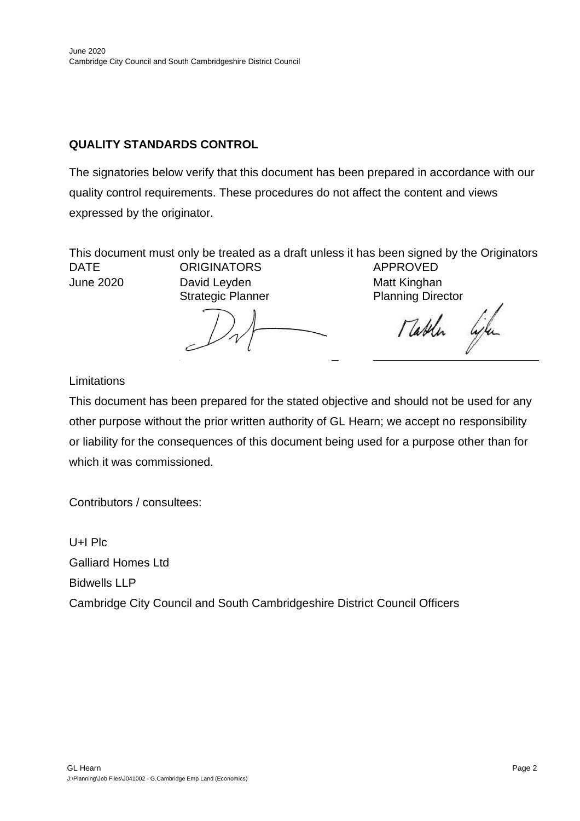# **QUALITY STANDARDS CONTROL**

The signatories below verify that this document has been prepared in accordance with our quality control requirements. These procedures do not affect the content and views expressed by the originator.

This document must only be treated as a draft unless it has been signed by the Originators and approved by a Business or Associate Director. DATE ORIGINATORS APPROVED David Leyden

Strategic Planner Planning Director

Table

**Limitations** 

This document has been prepared for the stated objective and should not be used for any other purpose without the prior written authority of GL Hearn; we accept no responsibility or liability for the consequences of this document being used for a purpose other than for which it was commissioned.

Contributors / consultees:

U+I Plc Galliard Homes Ltd Bidwells LLP Cambridge City Council and South Cambridgeshire District Council Officers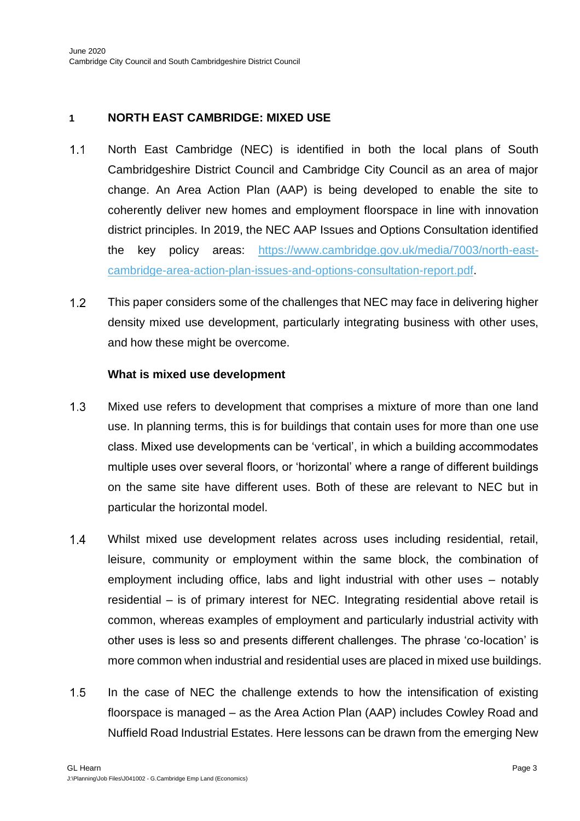# **1 NORTH EAST CAMBRIDGE: MIXED USE**

- $1.1$ North East Cambridge (NEC) is identified in both the local plans of South Cambridgeshire District Council and Cambridge City Council as an area of major change. An Area Action Plan (AAP) is being developed to enable the site to coherently deliver new homes and employment floorspace in line with innovation district principles. In 2019, the NEC AAP Issues and Options Consultation identified the key policy areas: [https://www.cambridge.gov.uk/media/7003/north-east](https://www.cambridge.gov.uk/media/7003/north-east-cambridge-area-action-plan-issues-and-options-consultation-report.pdf)[cambridge-area-action-plan-issues-and-options-consultation-report.pdf.](https://www.cambridge.gov.uk/media/7003/north-east-cambridge-area-action-plan-issues-and-options-consultation-report.pdf)
- $1.2$ This paper considers some of the challenges that NEC may face in delivering higher density mixed use development, particularly integrating business with other uses, and how these might be overcome.

#### **What is mixed use development**

- $1.3$ Mixed use refers to development that comprises a mixture of more than one land use. In planning terms, this is for buildings that contain uses for more than one use class. Mixed use developments can be 'vertical', in which a building accommodates multiple uses over several floors, or 'horizontal' where a range of different buildings on the same site have different uses. Both of these are relevant to NEC but in particular the horizontal model.
- $1.4$ Whilst mixed use development relates across uses including residential, retail, leisure, community or employment within the same block, the combination of employment including office, labs and light industrial with other uses – notably residential – is of primary interest for NEC. Integrating residential above retail is common, whereas examples of employment and particularly industrial activity with other uses is less so and presents different challenges. The phrase 'co-location' is more common when industrial and residential uses are placed in mixed use buildings.
- $1.5$ In the case of NEC the challenge extends to how the intensification of existing floorspace is managed – as the Area Action Plan (AAP) includes Cowley Road and Nuffield Road Industrial Estates. Here lessons can be drawn from the emerging New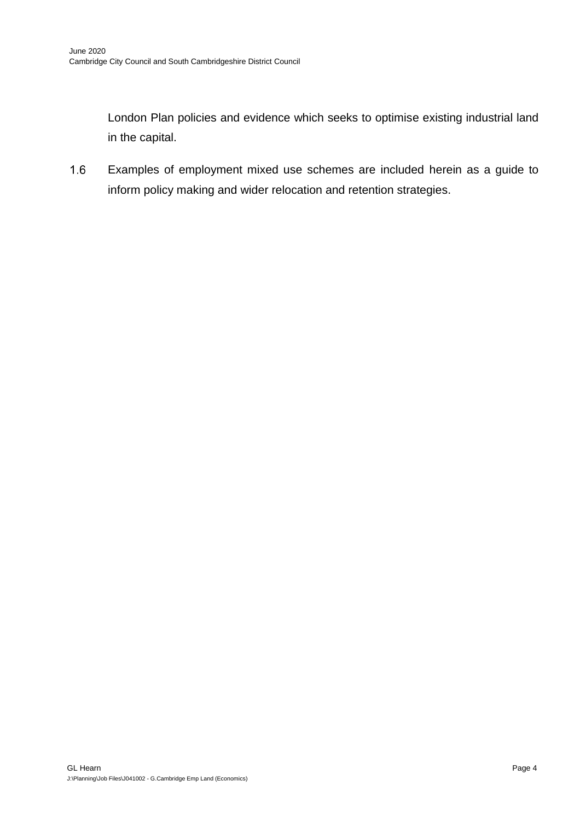London Plan policies and evidence which seeks to optimise existing industrial land in the capital.

 $1.6$ Examples of employment mixed use schemes are included herein as a guide to inform policy making and wider relocation and retention strategies.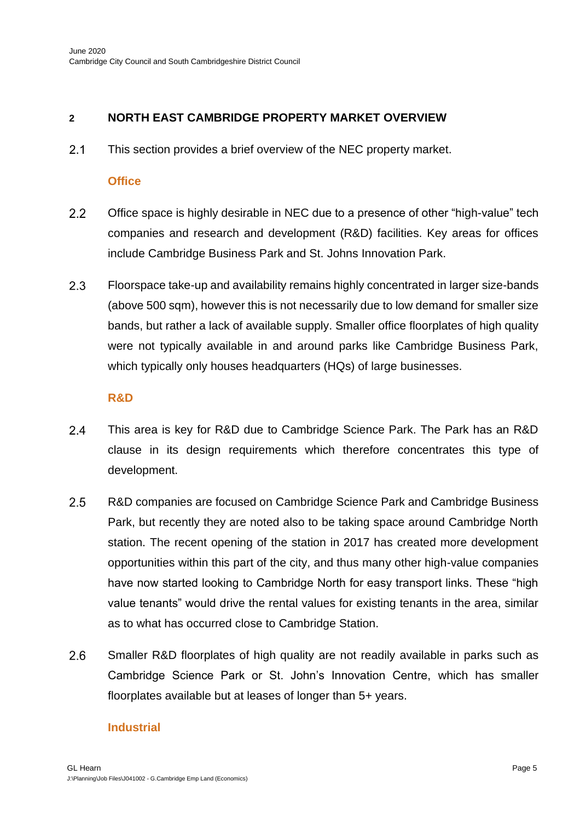# **2 NORTH EAST CAMBRIDGE PROPERTY MARKET OVERVIEW**

 $2.1$ This section provides a brief overview of the NEC property market.

#### **Office**

- $2.2$ Office space is highly desirable in NEC due to a presence of other "high-value" tech companies and research and development (R&D) facilities. Key areas for offices include Cambridge Business Park and St. Johns Innovation Park.
- $2.3$ Floorspace take-up and availability remains highly concentrated in larger size-bands (above 500 sqm), however this is not necessarily due to low demand for smaller size bands, but rather a lack of available supply. Smaller office floorplates of high quality were not typically available in and around parks like Cambridge Business Park, which typically only houses headquarters (HQs) of large businesses.

#### **R&D**

- $2.4$ This area is key for R&D due to Cambridge Science Park. The Park has an R&D clause in its design requirements which therefore concentrates this type of development.
- $2.5$ R&D companies are focused on Cambridge Science Park and Cambridge Business Park, but recently they are noted also to be taking space around Cambridge North station. The recent opening of the station in 2017 has created more development opportunities within this part of the city, and thus many other high-value companies have now started looking to Cambridge North for easy transport links. These "high value tenants" would drive the rental values for existing tenants in the area, similar as to what has occurred close to Cambridge Station.
- 2.6 Smaller R&D floorplates of high quality are not readily available in parks such as Cambridge Science Park or St. John's Innovation Centre, which has smaller floorplates available but at leases of longer than 5+ years.

# **Industrial**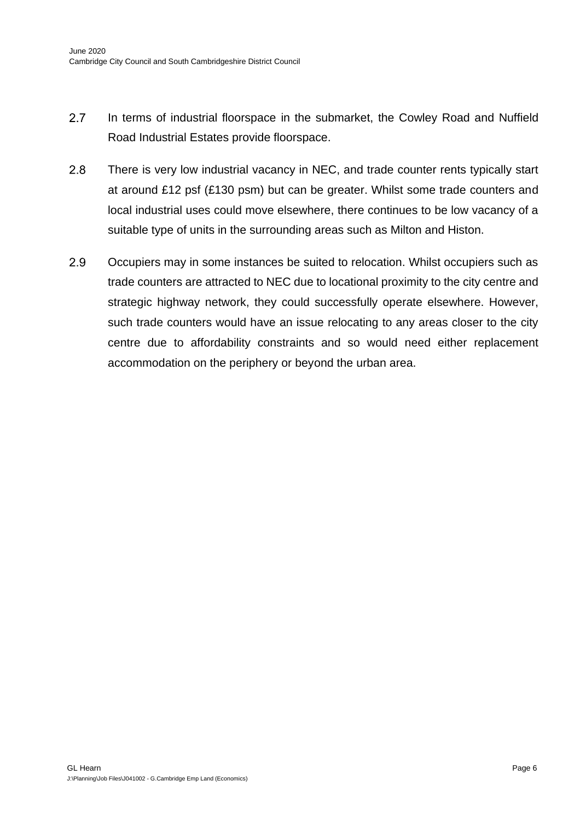- $2.7$ In terms of industrial floorspace in the submarket, the Cowley Road and Nuffield Road Industrial Estates provide floorspace.
- 2.8 There is very low industrial vacancy in NEC, and trade counter rents typically start at around £12 psf (£130 psm) but can be greater. Whilst some trade counters and local industrial uses could move elsewhere, there continues to be low vacancy of a suitable type of units in the surrounding areas such as Milton and Histon.
- 2.9 Occupiers may in some instances be suited to relocation. Whilst occupiers such as trade counters are attracted to NEC due to locational proximity to the city centre and strategic highway network, they could successfully operate elsewhere. However, such trade counters would have an issue relocating to any areas closer to the city centre due to affordability constraints and so would need either replacement accommodation on the periphery or beyond the urban area.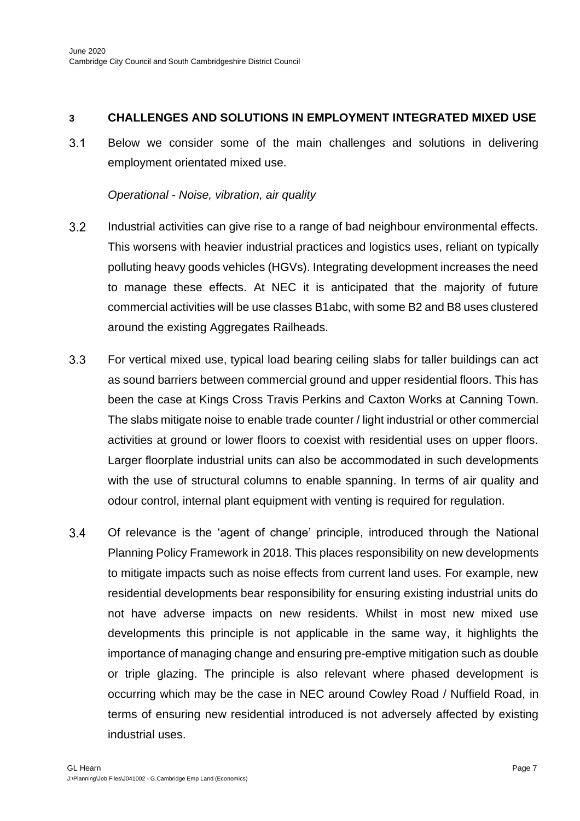## **3 CHALLENGES AND SOLUTIONS IN EMPLOYMENT INTEGRATED MIXED USE**

 $3.1$ Below we consider some of the main challenges and solutions in delivering employment orientated mixed use.

### *Operational - Noise, vibration, air quality*

- $3.2$ Industrial activities can give rise to a range of bad neighbour environmental effects. This worsens with heavier industrial practices and logistics uses, reliant on typically polluting heavy goods vehicles (HGVs). Integrating development increases the need to manage these effects. At NEC it is anticipated that the majority of future commercial activities will be use classes B1abc, with some B2 and B8 uses clustered around the existing Aggregates Railheads.
- $3.3$ For vertical mixed use, typical load bearing ceiling slabs for taller buildings can act as sound barriers between commercial ground and upper residential floors. This has been the case at Kings Cross Travis Perkins and Caxton Works at Canning Town. The slabs mitigate noise to enable trade counter / light industrial or other commercial activities at ground or lower floors to coexist with residential uses on upper floors. Larger floorplate industrial units can also be accommodated in such developments with the use of structural columns to enable spanning. In terms of air quality and odour control, internal plant equipment with venting is required for regulation.
- $3.4$ Of relevance is the 'agent of change' principle, introduced through the National Planning Policy Framework in 2018. This places responsibility on new developments to mitigate impacts such as noise effects from current land uses. For example, new residential developments bear responsibility for ensuring existing industrial units do not have adverse impacts on new residents. Whilst in most new mixed use developments this principle is not applicable in the same way, it highlights the importance of managing change and ensuring pre-emptive mitigation such as double or triple glazing. The principle is also relevant where phased development is occurring which may be the case in NEC around Cowley Road / Nuffield Road, in terms of ensuring new residential introduced is not adversely affected by existing industrial uses.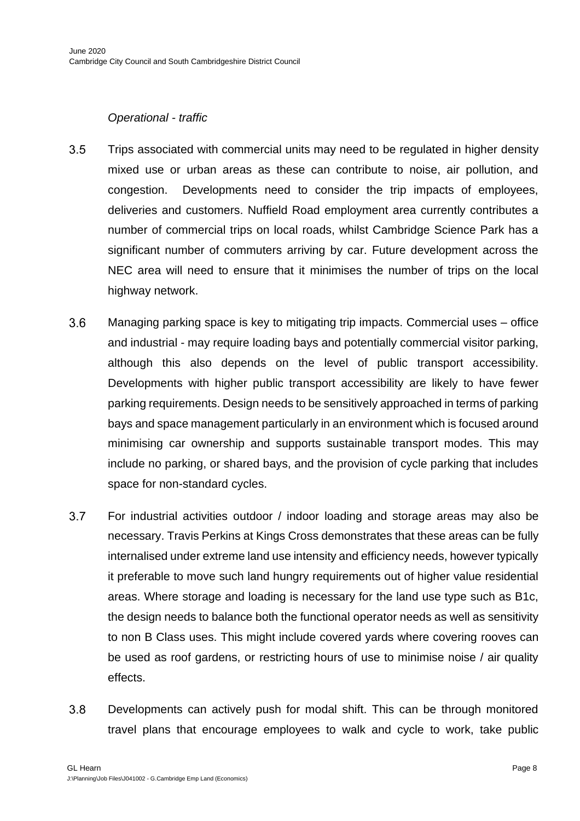#### *Operational - traffic*

- $3.5$ Trips associated with commercial units may need to be regulated in higher density mixed use or urban areas as these can contribute to noise, air pollution, and congestion. Developments need to consider the trip impacts of employees, deliveries and customers. Nuffield Road employment area currently contributes a number of commercial trips on local roads, whilst Cambridge Science Park has a significant number of commuters arriving by car. Future development across the NEC area will need to ensure that it minimises the number of trips on the local highway network.
- $3.6$ Managing parking space is key to mitigating trip impacts. Commercial uses – office and industrial - may require loading bays and potentially commercial visitor parking, although this also depends on the level of public transport accessibility. Developments with higher public transport accessibility are likely to have fewer parking requirements. Design needs to be sensitively approached in terms of parking bays and space management particularly in an environment which is focused around minimising car ownership and supports sustainable transport modes. This may include no parking, or shared bays, and the provision of cycle parking that includes space for non-standard cycles.
- $3.7$ For industrial activities outdoor / indoor loading and storage areas may also be necessary. Travis Perkins at Kings Cross demonstrates that these areas can be fully internalised under extreme land use intensity and efficiency needs, however typically it preferable to move such land hungry requirements out of higher value residential areas. Where storage and loading is necessary for the land use type such as B1c, the design needs to balance both the functional operator needs as well as sensitivity to non B Class uses. This might include covered yards where covering rooves can be used as roof gardens, or restricting hours of use to minimise noise / air quality effects.
- $3.8$ Developments can actively push for modal shift. This can be through monitored travel plans that encourage employees to walk and cycle to work, take public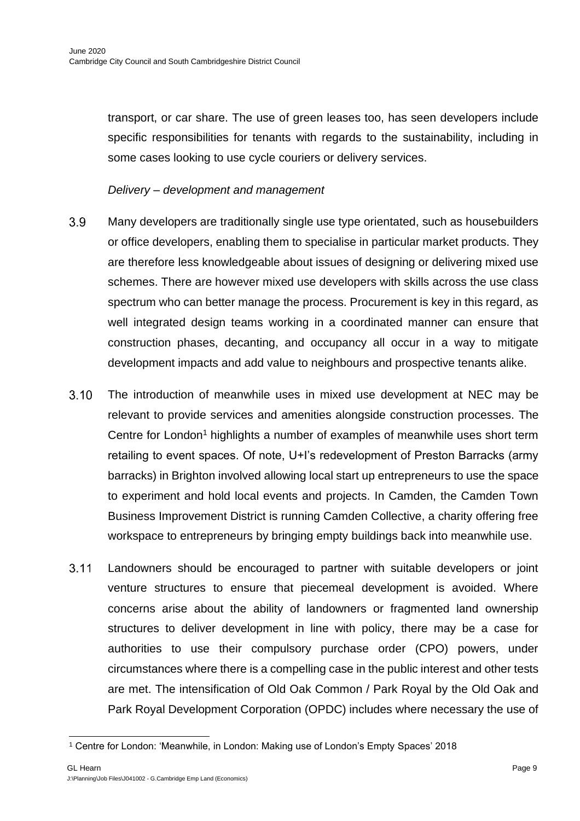transport, or car share. The use of green leases too, has seen developers include specific responsibilities for tenants with regards to the sustainability, including in some cases looking to use cycle couriers or delivery services.

*Delivery – development and management* 

- 3.9 Many developers are traditionally single use type orientated, such as housebuilders or office developers, enabling them to specialise in particular market products. They are therefore less knowledgeable about issues of designing or delivering mixed use schemes. There are however mixed use developers with skills across the use class spectrum who can better manage the process. Procurement is key in this regard, as well integrated design teams working in a coordinated manner can ensure that construction phases, decanting, and occupancy all occur in a way to mitigate development impacts and add value to neighbours and prospective tenants alike.
- $3.10$ The introduction of meanwhile uses in mixed use development at NEC may be relevant to provide services and amenities alongside construction processes. The Centre for London<sup>1</sup> highlights a number of examples of meanwhile uses short term retailing to event spaces. Of note, U+I's redevelopment of Preston Barracks (army barracks) in Brighton involved allowing local start up entrepreneurs to use the space to experiment and hold local events and projects. In Camden, the Camden Town Business Improvement District is running Camden Collective, a charity offering free workspace to entrepreneurs by bringing empty buildings back into meanwhile use.
- $3.11$ Landowners should be encouraged to partner with suitable developers or joint venture structures to ensure that piecemeal development is avoided. Where concerns arise about the ability of landowners or fragmented land ownership structures to deliver development in line with policy, there may be a case for authorities to use their compulsory purchase order (CPO) powers, under circumstances where there is a compelling case in the public interest and other tests are met. The intensification of Old Oak Common / Park Royal by the Old Oak and Park Royal Development Corporation (OPDC) includes where necessary the use of

<sup>1</sup> Centre for London: 'Meanwhile, in London: Making use of London's Empty Spaces' 2018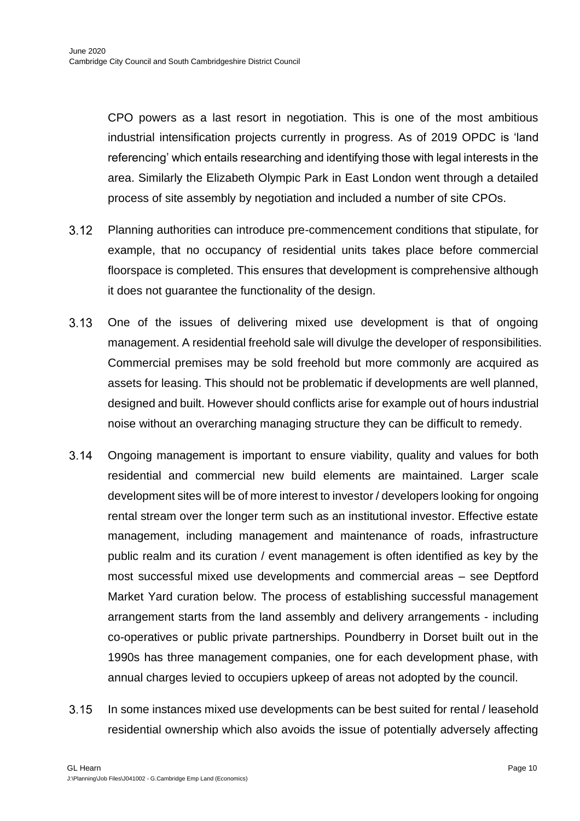CPO powers as a last resort in negotiation. This is one of the most ambitious industrial intensification projects currently in progress. As of 2019 OPDC is 'land referencing' which entails researching and identifying those with legal interests in the area. Similarly the Elizabeth Olympic Park in East London went through a detailed process of site assembly by negotiation and included a number of site CPOs.

- $3.12$ Planning authorities can introduce pre-commencement conditions that stipulate, for example, that no occupancy of residential units takes place before commercial floorspace is completed. This ensures that development is comprehensive although it does not guarantee the functionality of the design.
- $3.13$ One of the issues of delivering mixed use development is that of ongoing management. A residential freehold sale will divulge the developer of responsibilities. Commercial premises may be sold freehold but more commonly are acquired as assets for leasing. This should not be problematic if developments are well planned, designed and built. However should conflicts arise for example out of hours industrial noise without an overarching managing structure they can be difficult to remedy.
- $3.14$ Ongoing management is important to ensure viability, quality and values for both residential and commercial new build elements are maintained. Larger scale development sites will be of more interest to investor / developers looking for ongoing rental stream over the longer term such as an institutional investor. Effective estate management, including management and maintenance of roads, infrastructure public realm and its curation / event management is often identified as key by the most successful mixed use developments and commercial areas – see Deptford Market Yard curation below. The process of establishing successful management arrangement starts from the land assembly and delivery arrangements - including co-operatives or public private partnerships. Poundberry in Dorset built out in the 1990s has three management companies, one for each development phase, with annual charges levied to occupiers upkeep of areas not adopted by the council.
- $3.15$ In some instances mixed use developments can be best suited for rental / leasehold residential ownership which also avoids the issue of potentially adversely affecting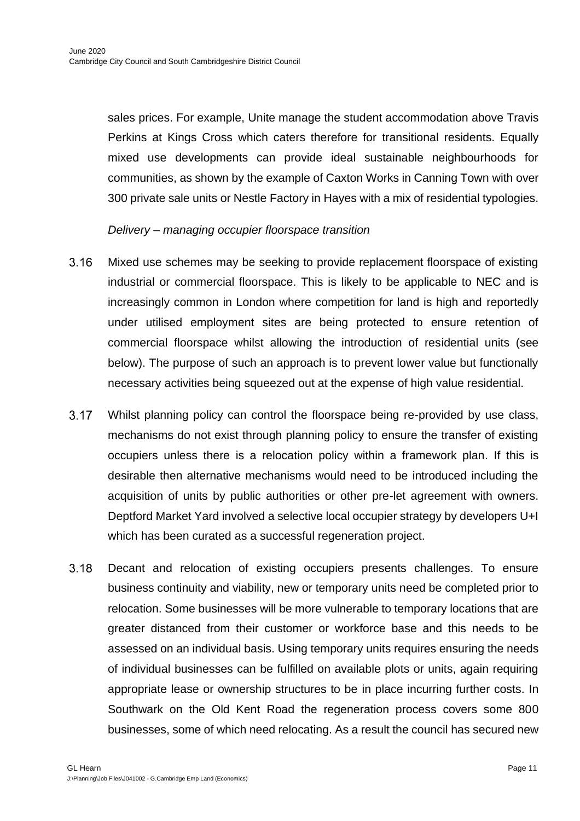sales prices. For example, Unite manage the student accommodation above Travis Perkins at Kings Cross which caters therefore for transitional residents. Equally mixed use developments can provide ideal sustainable neighbourhoods for communities, as shown by the example of Caxton Works in Canning Town with over 300 private sale units or Nestle Factory in Hayes with a mix of residential typologies.

#### *Delivery – managing occupier floorspace transition*

- $3.16$ Mixed use schemes may be seeking to provide replacement floorspace of existing industrial or commercial floorspace. This is likely to be applicable to NEC and is increasingly common in London where competition for land is high and reportedly under utilised employment sites are being protected to ensure retention of commercial floorspace whilst allowing the introduction of residential units (see below). The purpose of such an approach is to prevent lower value but functionally necessary activities being squeezed out at the expense of high value residential.
- Whilst planning policy can control the floorspace being re-provided by use class,  $3.17$ mechanisms do not exist through planning policy to ensure the transfer of existing occupiers unless there is a relocation policy within a framework plan. If this is desirable then alternative mechanisms would need to be introduced including the acquisition of units by public authorities or other pre-let agreement with owners. Deptford Market Yard involved a selective local occupier strategy by developers U+I which has been curated as a successful regeneration project.
- $3.18$ Decant and relocation of existing occupiers presents challenges. To ensure business continuity and viability, new or temporary units need be completed prior to relocation. Some businesses will be more vulnerable to temporary locations that are greater distanced from their customer or workforce base and this needs to be assessed on an individual basis. Using temporary units requires ensuring the needs of individual businesses can be fulfilled on available plots or units, again requiring appropriate lease or ownership structures to be in place incurring further costs. In Southwark on the Old Kent Road the regeneration process covers some 800 businesses, some of which need relocating. As a result the council has secured new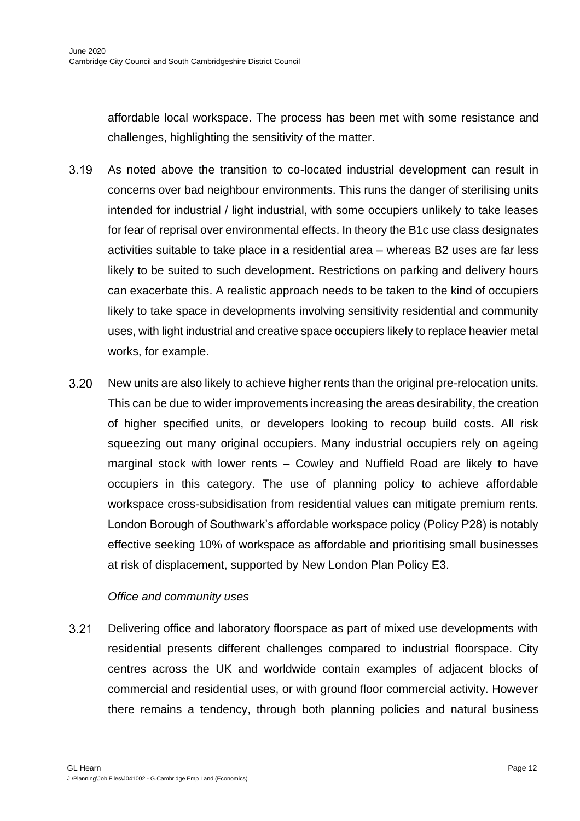affordable local workspace. The process has been met with some resistance and challenges, highlighting the sensitivity of the matter.

- $3.19$ As noted above the transition to co-located industrial development can result in concerns over bad neighbour environments. This runs the danger of sterilising units intended for industrial / light industrial, with some occupiers unlikely to take leases for fear of reprisal over environmental effects. In theory the B1c use class designates activities suitable to take place in a residential area – whereas B2 uses are far less likely to be suited to such development. Restrictions on parking and delivery hours can exacerbate this. A realistic approach needs to be taken to the kind of occupiers likely to take space in developments involving sensitivity residential and community uses, with light industrial and creative space occupiers likely to replace heavier metal works, for example.
- $3.20$ New units are also likely to achieve higher rents than the original pre-relocation units. This can be due to wider improvements increasing the areas desirability, the creation of higher specified units, or developers looking to recoup build costs. All risk squeezing out many original occupiers. Many industrial occupiers rely on ageing marginal stock with lower rents – Cowley and Nuffield Road are likely to have occupiers in this category. The use of planning policy to achieve affordable workspace cross-subsidisation from residential values can mitigate premium rents. London Borough of Southwark's affordable workspace policy (Policy P28) is notably effective seeking 10% of workspace as affordable and prioritising small businesses at risk of displacement, supported by New London Plan Policy E3.

#### *Office and community uses*

 $3.21$ Delivering office and laboratory floorspace as part of mixed use developments with residential presents different challenges compared to industrial floorspace. City centres across the UK and worldwide contain examples of adjacent blocks of commercial and residential uses, or with ground floor commercial activity. However there remains a tendency, through both planning policies and natural business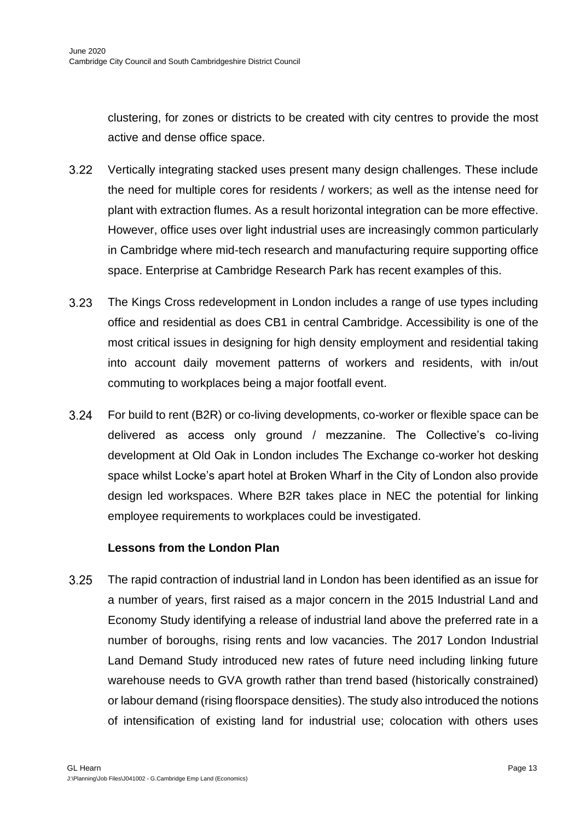clustering, for zones or districts to be created with city centres to provide the most active and dense office space.

- $3.22$ Vertically integrating stacked uses present many design challenges. These include the need for multiple cores for residents / workers; as well as the intense need for plant with extraction flumes. As a result horizontal integration can be more effective. However, office uses over light industrial uses are increasingly common particularly in Cambridge where mid-tech research and manufacturing require supporting office space. Enterprise at Cambridge Research Park has recent examples of this.
- $3.23$ The Kings Cross redevelopment in London includes a range of use types including office and residential as does CB1 in central Cambridge. Accessibility is one of the most critical issues in designing for high density employment and residential taking into account daily movement patterns of workers and residents, with in/out commuting to workplaces being a major footfall event.
- $3.24$ For build to rent (B2R) or co-living developments, co-worker or flexible space can be delivered as access only ground / mezzanine. The Collective's co-living development at Old Oak in London includes The Exchange co-worker hot desking space whilst Locke's apart hotel at Broken Wharf in the City of London also provide design led workspaces. Where B2R takes place in NEC the potential for linking employee requirements to workplaces could be investigated.

#### **Lessons from the London Plan**

 $3.25$ The rapid contraction of industrial land in London has been identified as an issue for a number of years, first raised as a major concern in the 2015 Industrial Land and Economy Study identifying a release of industrial land above the preferred rate in a number of boroughs, rising rents and low vacancies. The 2017 London Industrial Land Demand Study introduced new rates of future need including linking future warehouse needs to GVA growth rather than trend based (historically constrained) or labour demand (rising floorspace densities). The study also introduced the notions of intensification of existing land for industrial use; colocation with others uses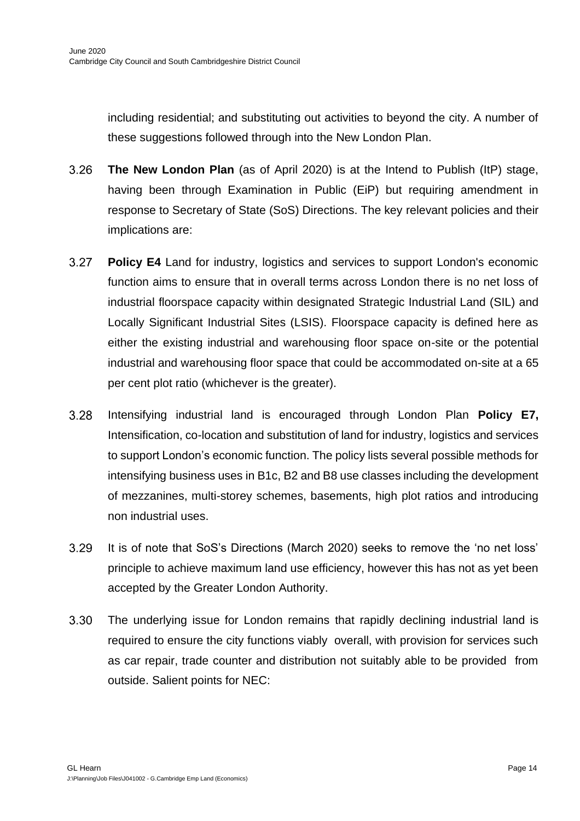including residential; and substituting out activities to beyond the city. A number of these suggestions followed through into the New London Plan.

- 3.26 **The New London Plan** (as of April 2020) is at the Intend to Publish (ItP) stage, having been through Examination in Public (EiP) but requiring amendment in response to Secretary of State (SoS) Directions. The key relevant policies and their implications are:
- $3.27$ **Policy E4** Land for industry, logistics and services to support London's economic function aims to ensure that in overall terms across London there is no net loss of industrial floorspace capacity within designated Strategic Industrial Land (SIL) and Locally Significant Industrial Sites (LSIS). Floorspace capacity is defined here as either the existing industrial and warehousing floor space on-site or the potential industrial and warehousing floor space that could be accommodated on-site at a 65 per cent plot ratio (whichever is the greater).
- 3.28 Intensifying industrial land is encouraged through London Plan **Policy E7,** Intensification, co-location and substitution of land for industry, logistics and services to support London's economic function. The policy lists several possible methods for intensifying business uses in B1c, B2 and B8 use classes including the development of mezzanines, multi-storey schemes, basements, high plot ratios and introducing non industrial uses.
- 3.29 It is of note that SoS's Directions (March 2020) seeks to remove the 'no net loss' principle to achieve maximum land use efficiency, however this has not as yet been accepted by the Greater London Authority.
- $3.30$ The underlying issue for London remains that rapidly declining industrial land is required to ensure the city functions viably overall, with provision for services such as car repair, trade counter and distribution not suitably able to be provided from outside. Salient points for NEC: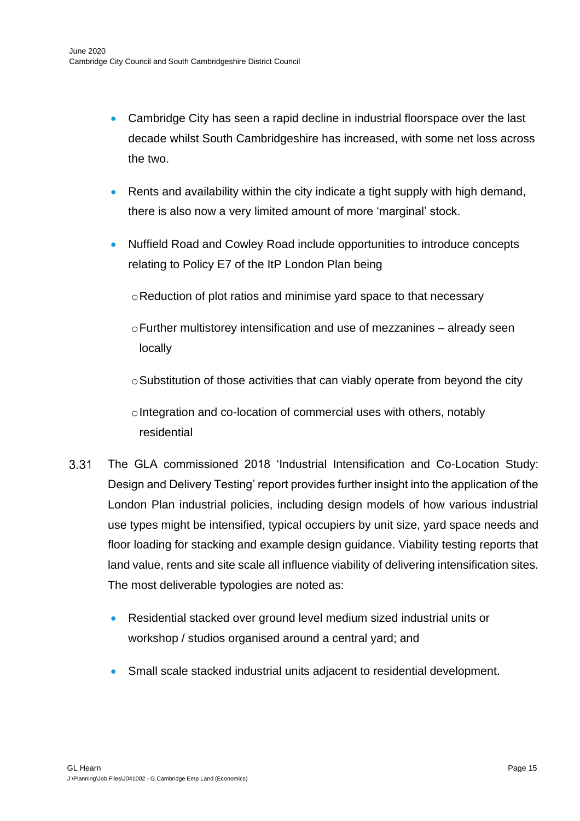- Cambridge City has seen a rapid decline in industrial floorspace over the last decade whilst South Cambridgeshire has increased, with some net loss across the two.
- Rents and availability within the city indicate a tight supply with high demand, there is also now a very limited amount of more 'marginal' stock.
- Nuffield Road and Cowley Road include opportunities to introduce concepts relating to Policy E7 of the ItP London Plan being
	- oReduction of plot ratios and minimise yard space to that necessary
	- $\circ$ Further multistorey intensification and use of mezzanines already seen locally
	- $\circ$ Substitution of those activities that can viably operate from beyond the city

oIntegration and co-location of commercial uses with others, notably residential

- $3.31$ The GLA commissioned 2018 'Industrial Intensification and Co-Location Study: Design and Delivery Testing' report provides further insight into the application of the London Plan industrial policies, including design models of how various industrial use types might be intensified, typical occupiers by unit size, yard space needs and floor loading for stacking and example design guidance. Viability testing reports that land value, rents and site scale all influence viability of delivering intensification sites. The most deliverable typologies are noted as:
	- Residential stacked over ground level medium sized industrial units or workshop / studios organised around a central yard; and
	- Small scale stacked industrial units adjacent to residential development.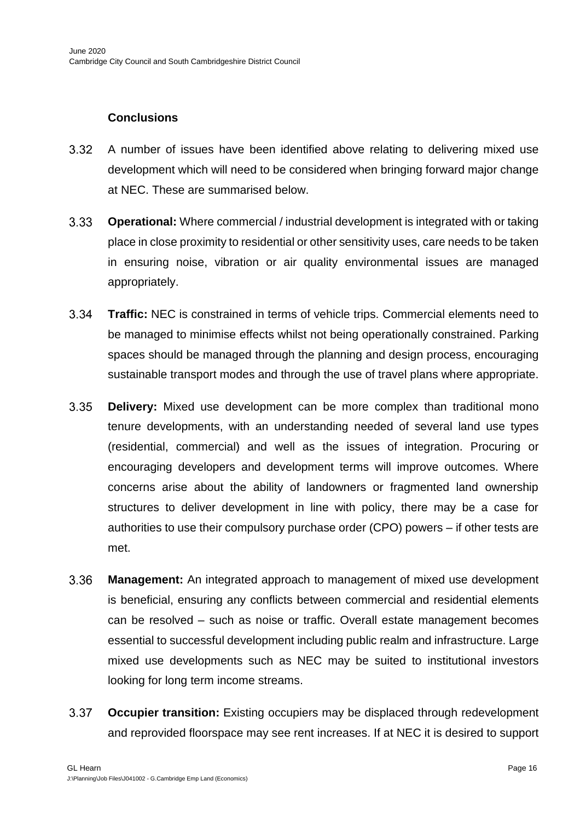# **Conclusions**

- $3.32$ A number of issues have been identified above relating to delivering mixed use development which will need to be considered when bringing forward major change at NEC. These are summarised below.
- $3.33$ **Operational:** Where commercial / industrial development is integrated with or taking place in close proximity to residential or other sensitivity uses, care needs to be taken in ensuring noise, vibration or air quality environmental issues are managed appropriately.
- $3.34$ **Traffic:** NEC is constrained in terms of vehicle trips. Commercial elements need to be managed to minimise effects whilst not being operationally constrained. Parking spaces should be managed through the planning and design process, encouraging sustainable transport modes and through the use of travel plans where appropriate.
- $3.35$ **Delivery:** Mixed use development can be more complex than traditional mono tenure developments, with an understanding needed of several land use types (residential, commercial) and well as the issues of integration. Procuring or encouraging developers and development terms will improve outcomes. Where concerns arise about the ability of landowners or fragmented land ownership structures to deliver development in line with policy, there may be a case for authorities to use their compulsory purchase order (CPO) powers – if other tests are met.
- 3.36 **Management:** An integrated approach to management of mixed use development is beneficial, ensuring any conflicts between commercial and residential elements can be resolved – such as noise or traffic. Overall estate management becomes essential to successful development including public realm and infrastructure. Large mixed use developments such as NEC may be suited to institutional investors looking for long term income streams.
- $3.37$ **Occupier transition:** Existing occupiers may be displaced through redevelopment and reprovided floorspace may see rent increases. If at NEC it is desired to support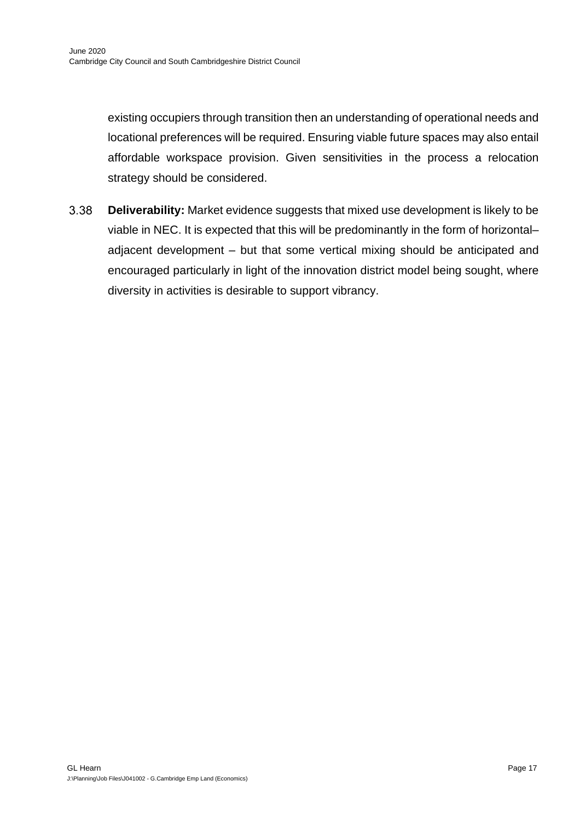existing occupiers through transition then an understanding of operational needs and locational preferences will be required. Ensuring viable future spaces may also entail affordable workspace provision. Given sensitivities in the process a relocation strategy should be considered.

3.38 **Deliverability:** Market evidence suggests that mixed use development is likely to be viable in NEC. It is expected that this will be predominantly in the form of horizontal– adjacent development – but that some vertical mixing should be anticipated and encouraged particularly in light of the innovation district model being sought, where diversity in activities is desirable to support vibrancy.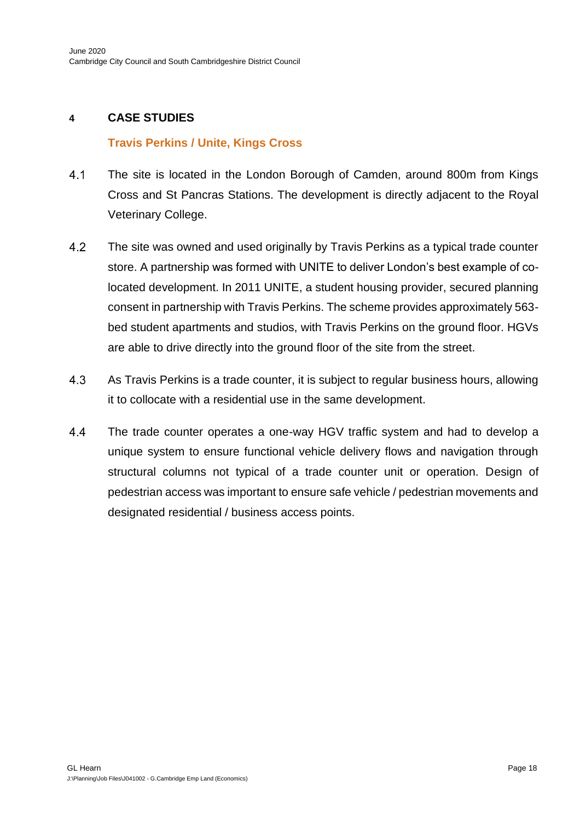# **4 CASE STUDIES**

### **Travis Perkins / Unite, Kings Cross**

- $4.1$ The site is located in the London Borough of Camden, around 800m from Kings Cross and St Pancras Stations. The development is directly adjacent to the Royal Veterinary College.
- $4.2$ The site was owned and used originally by Travis Perkins as a typical trade counter store. A partnership was formed with UNITE to deliver London's best example of colocated development. In 2011 UNITE, a student housing provider, secured planning consent in partnership with Travis Perkins. The scheme provides approximately 563 bed student apartments and studios, with Travis Perkins on the ground floor. HGVs are able to drive directly into the ground floor of the site from the street.
- $4.3$ As Travis Perkins is a trade counter, it is subject to regular business hours, allowing it to collocate with a residential use in the same development.
- 4.4 The trade counter operates a one-way HGV traffic system and had to develop a unique system to ensure functional vehicle delivery flows and navigation through structural columns not typical of a trade counter unit or operation. Design of pedestrian access was important to ensure safe vehicle / pedestrian movements and designated residential / business access points.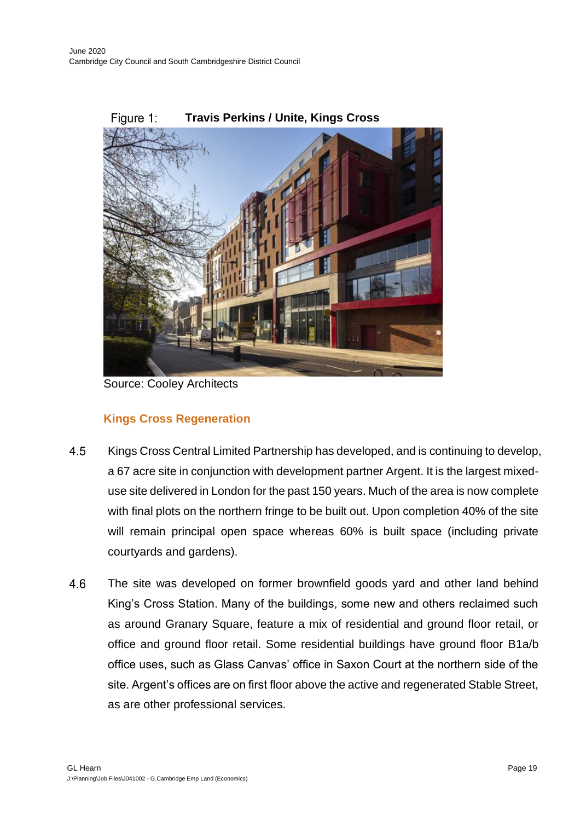

#### Figure 1: **Travis Perkins / Unite, Kings Cross**

Source: Cooley Architects

# **Kings Cross Regeneration**

- 4.5 Kings Cross Central Limited Partnership has developed, and is continuing to develop, a 67 acre site in conjunction with development partner Argent. It is the largest mixeduse site delivered in London for the past 150 years. Much of the area is now complete with final plots on the northern fringe to be built out. Upon completion 40% of the site will remain principal open space whereas 60% is built space (including private courtyards and gardens).
- 4.6 The site was developed on former brownfield goods yard and other land behind King's Cross Station. Many of the buildings, some new and others reclaimed such as around Granary Square, feature a mix of residential and ground floor retail, or office and ground floor retail. Some residential buildings have ground floor B1a/b office uses, such as Glass Canvas' office in Saxon Court at the northern side of the site. Argent's offices are on first floor above the active and regenerated Stable Street, as are other professional services.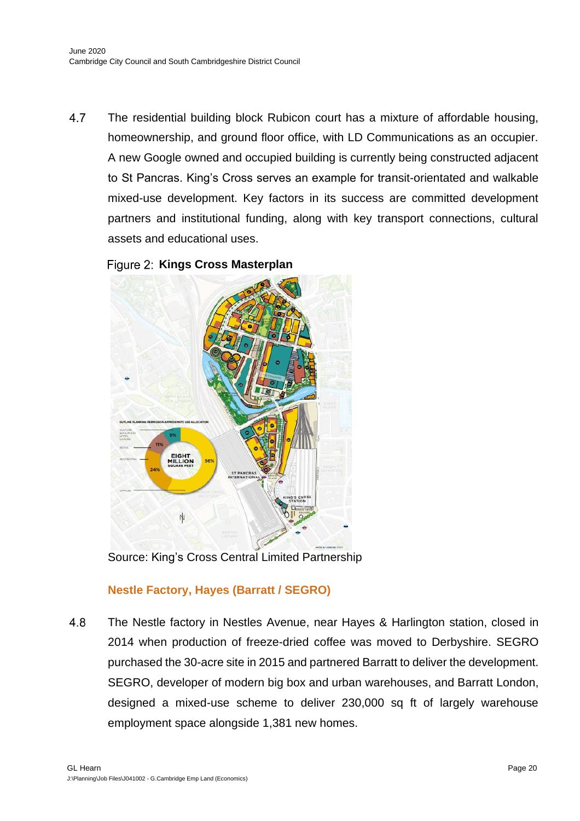$4.7$ The residential building block Rubicon court has a mixture of affordable housing, homeownership, and ground floor office, with LD Communications as an occupier. A new Google owned and occupied building is currently being constructed adjacent to St Pancras. King's Cross serves an example for transit-orientated and walkable mixed-use development. Key factors in its success are committed development partners and institutional funding, along with key transport connections, cultural assets and educational uses.





Source: King's Cross Central Limited Partnership

# **Nestle Factory, Hayes (Barratt / SEGRO)**

4.8 The Nestle factory in Nestles Avenue, near Hayes & Harlington station, closed in 2014 when production of freeze-dried coffee was moved to Derbyshire. SEGRO purchased the 30-acre site in 2015 and partnered Barratt to deliver the development. SEGRO, developer of modern big box and urban warehouses, and Barratt London, designed a mixed-use scheme to deliver 230,000 sq ft of largely warehouse employment space alongside 1,381 new homes.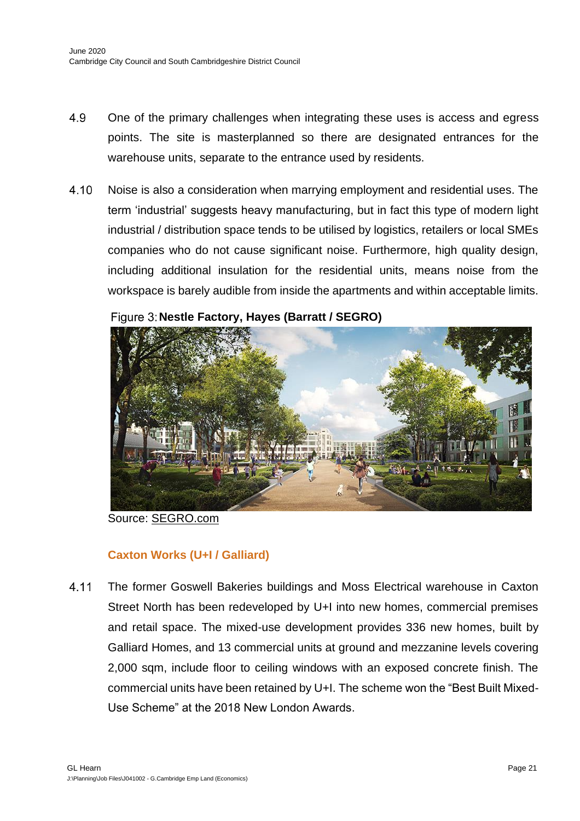- 4.9 One of the primary challenges when integrating these uses is access and egress points. The site is masterplanned so there are designated entrances for the warehouse units, separate to the entrance used by residents.
- 4.10 Noise is also a consideration when marrying employment and residential uses. The term 'industrial' suggests heavy manufacturing, but in fact this type of modern light industrial / distribution space tends to be utilised by logistics, retailers or local SMEs companies who do not cause significant noise. Furthermore, high quality design, including additional insulation for the residential units, means noise from the workspace is barely audible from inside the apartments and within acceptable limits.



**Nestle Factory, Hayes (Barratt / SEGRO)**

Source: [SEGRO.](https://studioegretwest.com/places/caxton-works)com

# **Caxton Works (U+I / Galliard)**

4.11 The former Goswell Bakeries buildings and Moss Electrical warehouse in Caxton Street North has been redeveloped by U+I into new homes, commercial premises and retail space. The mixed-use development provides 336 new homes, built by Galliard Homes, and 13 commercial units at ground and mezzanine levels covering 2,000 sqm, include floor to ceiling windows with an exposed concrete finish. The commercial units have been retained by U+I. The scheme won the "Best Built Mixed-Use Scheme" at the 2018 New London Awards.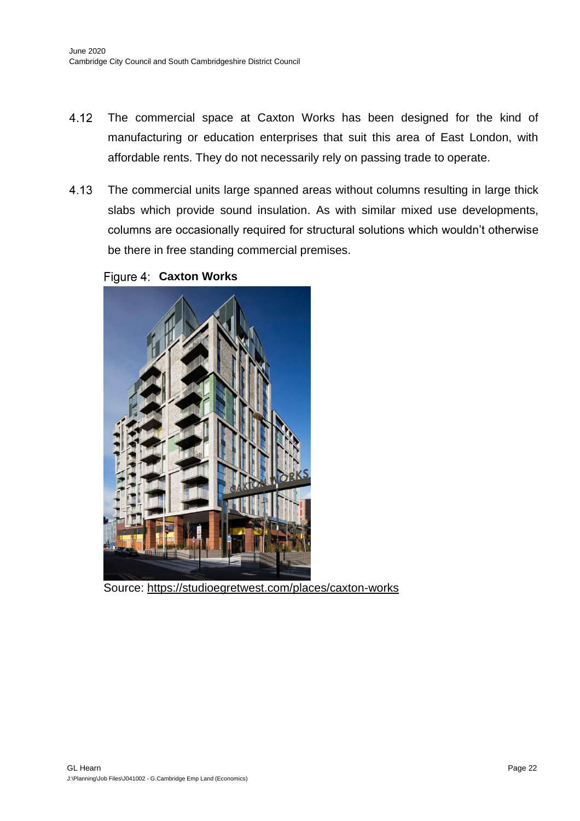- 4.12 The commercial space at Caxton Works has been designed for the kind of manufacturing or education enterprises that suit this area of East London, with affordable rents. They do not necessarily rely on passing trade to operate.
- 4.13 The commercial units large spanned areas without columns resulting in large thick slabs which provide sound insulation. As with similar mixed use developments, columns are occasionally required for structural solutions which wouldn't otherwise be there in free standing commercial premises.

**Figure 4: Caxton Works** 



Source:<https://studioegretwest.com/places/caxton-works>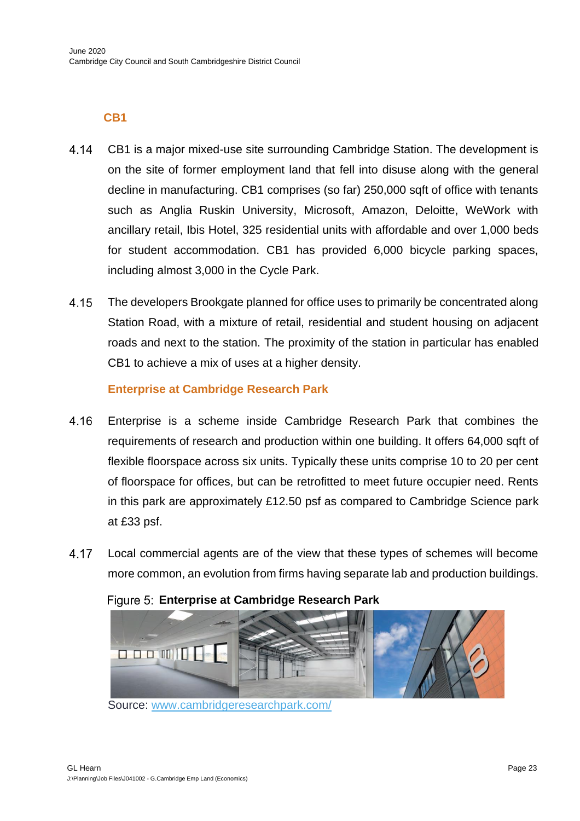# **CB1**

- 4.14 CB1 is a major mixed-use site surrounding Cambridge Station. The development is on the site of former employment land that fell into disuse along with the general decline in manufacturing. CB1 comprises (so far) 250,000 sqft of office with tenants such as Anglia Ruskin University, Microsoft, Amazon, Deloitte, WeWork with ancillary retail, Ibis Hotel, 325 residential units with affordable and over 1,000 beds for student accommodation. CB1 has provided 6,000 bicycle parking spaces, including almost 3,000 in the Cycle Park.
- 4.15 The developers Brookgate planned for office uses to primarily be concentrated along Station Road, with a mixture of retail, residential and student housing on adjacent roads and next to the station. The proximity of the station in particular has enabled CB1 to achieve a mix of uses at a higher density.

# **Enterprise at Cambridge Research Park**

- 4.16 Enterprise is a scheme inside Cambridge Research Park that combines the requirements of research and production within one building. It offers 64,000 sqft of flexible floorspace across six units. Typically these units comprise 10 to 20 per cent of floorspace for offices, but can be retrofitted to meet future occupier need. Rents in this park are approximately £12.50 psf as compared to Cambridge Science park at £33 psf.
- 4.17 Local commercial agents are of the view that these types of schemes will become more common, an evolution from firms having separate lab and production buildings.



**Enterprise at Cambridge Research Park**

Source: [www.cambridgeresearchpark.com/](http://www.cambridgeresearchpark.com/)